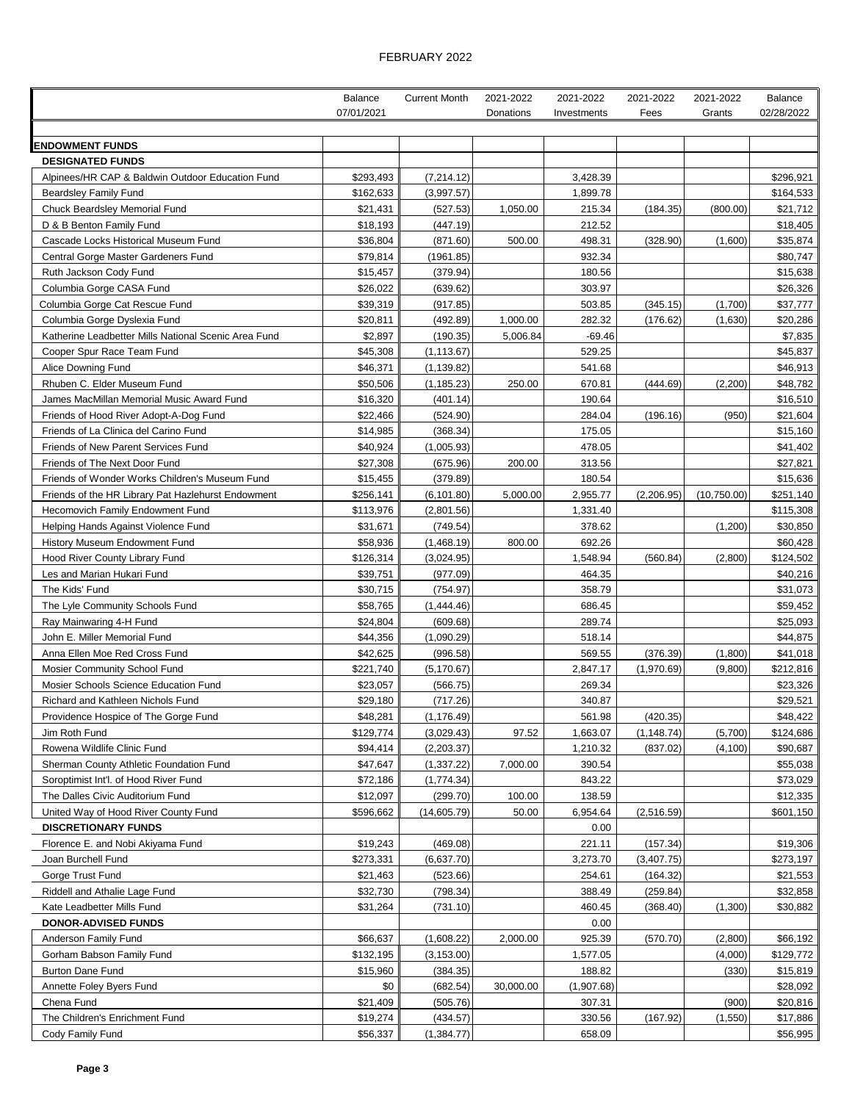## FEBRUARY 2022

|                                                              | Balance               | <b>Current Month</b>   | 2021-2022 | 2021-2022          | 2021-2022   | 2021-2022    | <b>Balance</b>        |
|--------------------------------------------------------------|-----------------------|------------------------|-----------|--------------------|-------------|--------------|-----------------------|
|                                                              | 07/01/2021            |                        | Donations | Investments        | Fees        | Grants       | 02/28/2022            |
|                                                              |                       |                        |           |                    |             |              |                       |
| <b>ENDOWMENT FUNDS</b><br><b>DESIGNATED FUNDS</b>            |                       |                        |           |                    |             |              |                       |
| Alpinees/HR CAP & Baldwin Outdoor Education Fund             | \$293,493             | (7, 214.12)            |           | 3,428.39           |             |              | \$296,921             |
| <b>Beardsley Family Fund</b>                                 | \$162,633             | (3,997.57)             |           | 1,899.78           |             |              | \$164,533             |
| <b>Chuck Beardsley Memorial Fund</b>                         | \$21,431              | (527.53)               | 1,050.00  | 215.34             | (184.35)    | (800.00)     | \$21,712              |
| D & B Benton Family Fund                                     | \$18,193              | (447.19)               |           | 212.52             |             |              | \$18,405              |
| Cascade Locks Historical Museum Fund                         | \$36,804              | (871.60)               | 500.00    | 498.31             | (328.90)    | (1,600)      | \$35,874              |
| Central Gorge Master Gardeners Fund                          | \$79,814              | (1961.85)              |           | 932.34             |             |              | \$80,747              |
| Ruth Jackson Cody Fund                                       | \$15,457              | (379.94)               |           | 180.56             |             |              | \$15,638              |
| Columbia Gorge CASA Fund                                     | \$26,022              | (639.62)               |           | 303.97             |             |              | \$26,326              |
| Columbia Gorge Cat Rescue Fund                               | \$39,319              | (917.85)               |           | 503.85             | (345.15)    | (1,700)      | \$37,777              |
| Columbia Gorge Dyslexia Fund                                 | \$20,811              | (492.89)               | 1,000.00  | 282.32             | (176.62)    | (1,630)      | \$20,286              |
| Katherine Leadbetter Mills National Scenic Area Fund         | \$2,897               | (190.35)               | 5,006.84  | $-69.46$           |             |              | \$7,835               |
| Cooper Spur Race Team Fund                                   | \$45,308              | (1, 113.67)            |           | 529.25             |             |              | \$45,837              |
| Alice Downing Fund                                           | \$46,371              | (1, 139.82)            |           | 541.68             |             |              | \$46,913              |
| Rhuben C. Elder Museum Fund                                  | \$50,506              | (1, 185.23)            | 250.00    | 670.81             | (444.69)    | (2, 200)     | \$48,782              |
| James MacMillan Memorial Music Award Fund                    | \$16,320              | (401.14)               |           | 190.64             |             |              | \$16,510              |
| Friends of Hood River Adopt-A-Dog Fund                       | \$22,466              | (524.90)               |           | 284.04             | (196.16)    | (950)        | \$21,604              |
| Friends of La Clinica del Carino Fund                        | \$14,985              | (368.34)               |           | 175.05             |             |              | \$15,160              |
| Friends of New Parent Services Fund                          | \$40,924              | (1,005.93)             |           | 478.05             |             |              | \$41,402              |
| Friends of The Next Door Fund                                | \$27,308              | (675.96)               | 200.00    | 313.56             |             |              | \$27,821              |
| Friends of Wonder Works Children's Museum Fund               | \$15,455              | (379.89)               |           | 180.54             |             |              | \$15,636              |
| Friends of the HR Library Pat Hazlehurst Endowment           | \$256,141             | (6, 101.80)            | 5,000.00  | 2,955.77           | (2,206.95)  | (10, 750.00) | \$251,140             |
| <b>Hecomovich Family Endowment Fund</b>                      | \$113,976             | (2,801.56)             |           | 1,331.40           |             |              | \$115,308             |
| Helping Hands Against Violence Fund                          | \$31,671              | (749.54)               |           | 378.62             |             | (1,200)      | \$30,850              |
| History Museum Endowment Fund                                | \$58,936              | (1,468.19)             | 800.00    | 692.26             |             |              | \$60,428              |
| Hood River County Library Fund<br>Les and Marian Hukari Fund | \$126,314<br>\$39,751 | (3,024.95)<br>(977.09) |           | 1,548.94<br>464.35 | (560.84)    | (2,800)      | \$124,502<br>\$40,216 |
| The Kids' Fund                                               | \$30,715              | (754.97)               |           | 358.79             |             |              | \$31,073              |
| The Lyle Community Schools Fund                              | \$58,765              | (1,444.46)             |           | 686.45             |             |              | \$59,452              |
| Ray Mainwaring 4-H Fund                                      | \$24,804              | (609.68)               |           | 289.74             |             |              | \$25,093              |
| John E. Miller Memorial Fund                                 | \$44,356              | (1,090.29)             |           | 518.14             |             |              | \$44,875              |
| Anna Ellen Moe Red Cross Fund                                | \$42,625              | (996.58)               |           | 569.55             | (376.39)    | (1,800)      | \$41,018              |
| Mosier Community School Fund                                 | \$221,740             | (5, 170.67)            |           | 2,847.17           | (1,970.69)  | (9,800)      | \$212,816             |
| Mosier Schools Science Education Fund                        | \$23,057              | (566.75)               |           | 269.34             |             |              | \$23,326              |
| Richard and Kathleen Nichols Fund                            | \$29,180              | (717.26)               |           | 340.87             |             |              | \$29,521              |
| Providence Hospice of The Gorge Fund                         | \$48,281              | (1, 176.49)            |           | 561.98             | (420.35)    |              | \$48,422              |
| Jim Roth Fund                                                | \$129,774             | (3,029.43)             | 97.52     | 1,663.07           | (1, 148.74) | (5,700)      | \$124,686             |
| Rowena Wildlife Clinic Fund                                  | \$94,414              | (2,203.37)             |           | 1,210.32           | (837.02)    | (4, 100)     | \$90,687              |
| Sherman County Athletic Foundation Fund                      | \$47,647              | (1,337.22)             | 7,000.00  | 390.54             |             |              | \$55,038              |
| Soroptimist Int'l. of Hood River Fund                        | \$72,186              | (1,774.34)             |           | 843.22             |             |              | \$73,029              |
| The Dalles Civic Auditorium Fund                             | \$12,097              | (299.70)               | 100.00    | 138.59             |             |              | \$12,335              |
| United Way of Hood River County Fund                         | \$596,662             | (14,605.79)            | 50.00     | 6,954.64           | (2,516.59)  |              | \$601,150             |
| <b>DISCRETIONARY FUNDS</b>                                   |                       |                        |           | 0.00               |             |              |                       |
| Florence E. and Nobi Akiyama Fund                            | \$19,243              | (469.08)               |           | 221.11             | (157.34)    |              | \$19,306              |
| Joan Burchell Fund                                           | \$273,331             | (6,637.70)             |           | 3,273.70           | (3,407.75)  |              | \$273,197             |
| Gorge Trust Fund                                             | \$21,463              | (523.66)               |           | 254.61             | (164.32)    |              | \$21,553              |
| Riddell and Athalie Lage Fund                                | \$32,730              | (798.34)               |           | 388.49             | (259.84)    |              | \$32,858              |
| Kate Leadbetter Mills Fund                                   | \$31,264              | (731.10)               |           | 460.45             | (368.40)    | (1,300)      | \$30,882              |
| <b>DONOR-ADVISED FUNDS</b>                                   |                       |                        |           | 0.00               |             |              |                       |
| Anderson Family Fund                                         | \$66,637              | (1,608.22)             | 2,000.00  | 925.39             | (570.70)    | (2,800)      | \$66,192              |
| Gorham Babson Family Fund                                    | \$132,195             | (3, 153.00)            |           | 1,577.05           |             | (4,000)      | \$129,772             |
| <b>Burton Dane Fund</b>                                      | \$15,960              | (384.35)               |           | 188.82             |             | (330)        | \$15,819              |
| Annette Foley Byers Fund                                     | \$0                   | (682.54)               | 30,000.00 | (1,907.68)         |             |              | \$28,092              |
| Chena Fund                                                   | \$21,409              | (505.76)               |           | 307.31             |             | (900)        | \$20,816              |
| The Children's Enrichment Fund                               | \$19,274              | (434.57)               |           | 330.56             | (167.92)    | (1,550)      | \$17,886              |
| Cody Family Fund                                             | \$56,337              | (1,384.77)             |           | 658.09             |             |              | \$56,995              |